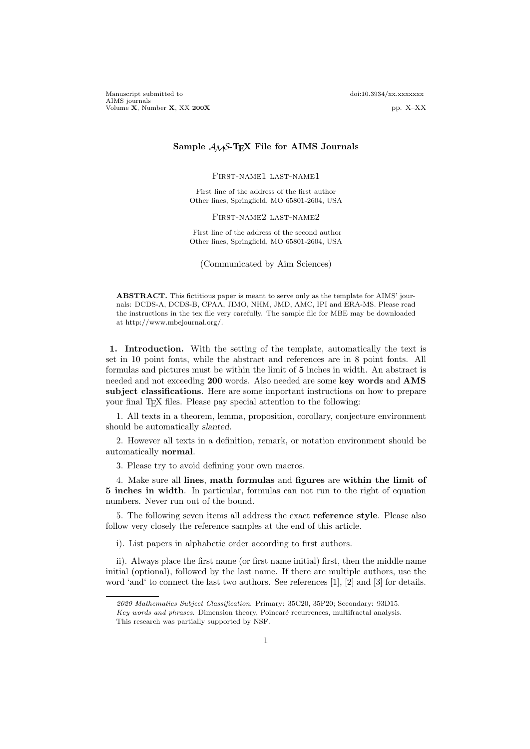## **Sample** *AMS***-TEX File for AIMS Journals**

First-name1 last-name1

First line of the address of the first author Other lines, Springfield, MO 65801-2604, USA

First-name2 last-name2

First line of the address of the second author Other lines, Springfield, MO 65801-2604, USA

(Communicated by Aim Sciences)

**ABSTRACT.** This fictitious paper is meant to serve only as the template for AIMS' journals: DCDS-A, DCDS-B, CPAA, JIMO, NHM, JMD, AMC, IPI and ERA-MS. Please read the instructions in the tex file very carefully. The sample file for MBE may be downloaded at http://www.mbejournal.org/.

**1. Introduction.** With the setting of the template, automatically the text is set in 10 point fonts, while the abstract and references are in 8 point fonts. All formulas and pictures must be within the limit of **5** inches in width. An abstract is needed and not exceeding **200** words. Also needed are some **key words** and **AMS subject classifications**. Here are some important instructions on how to prepare your final T<sub>EX</sub> files. Please pay special attention to the following:

1. All texts in a theorem, lemma, proposition, corollary, conjecture environment should be automatically *slanted*.

2. However all texts in a definition, remark, or notation environment should be automatically **normal**.

3. Please try to avoid defining your own macros.

4. Make sure all **lines**, **math formulas** and **figures** are **within the limit of 5 inches in width**. In particular, formulas can not run to the right of equation numbers. Never run out of the bound.

5. The following seven items all address the exact **reference style**. Please also follow very closely the reference samples at the end of this article.

i). List papers in alphabetic order according to first authors.

ii). Always place the first name (or first name initial) first, then the middle name initial (optional), followed by the last name. If there are multiple authors, use the word 'and' to connect the last two authors. See references [1], [2] and [3] for details.

*<sup>2020</sup> Mathematics Subject Classification*. Primary: 35C20, 35P20; Secondary: 93D15.

Key words and phrases. Dimension theory, Poincaré recurrences, multifractal analysis. This research was partially supported by NSF.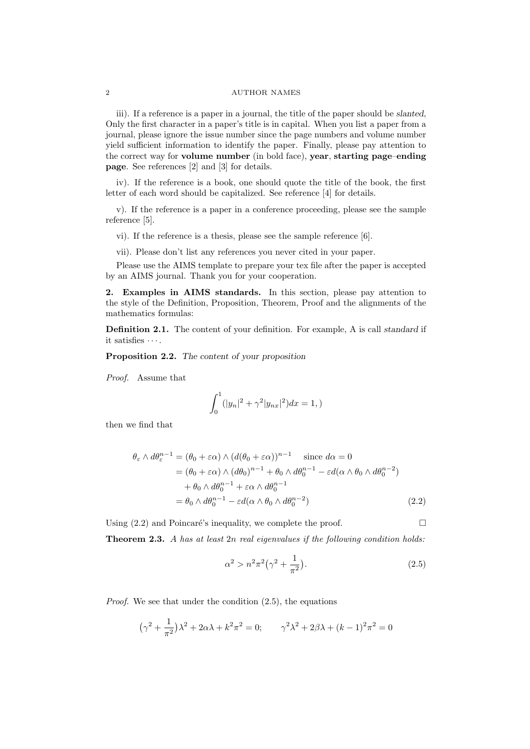## 2 AUTHOR NAMES

iii). If a reference is a paper in a journal, the title of the paper should be *slanted*, Only the first character in a paper's title is in capital. When you list a paper from a journal, please ignore the issue number since the page numbers and volume number yield sufficient information to identify the paper. Finally, please pay attention to the correct way for **volume number** (in bold face), **year**, **starting page**–**ending page**. See references [2] and [3] for details.

iv). If the reference is a book, one should quote the title of the book, the first letter of each word should be capitalized. See reference [4] for details.

v). If the reference is a paper in a conference proceeding, please see the sample reference [5].

vi). If the reference is a thesis, please see the sample reference [6].

vii). Please don't list any references you never cited in your paper.

Please use the AIMS template to prepare your tex file after the paper is accepted by an AIMS journal. Thank you for your cooperation.

**2. Examples in AIMS standards.** In this section, please pay attention to the style of the Definition, Proposition, Theorem, Proof and the alignments of the mathematics formulas:

**Definition 2.1.** The content of your definition. For example, A is call *standard* if it satisfies *· · ·* .

**Proposition 2.2.** *The content of your proposition*

*Proof.* Assume that

$$
\int_0^1 (|y_n|^2 + \gamma^2 |y_{nx}|^2) dx = 1,
$$

then we find that

$$
\theta_{\varepsilon} \wedge d\theta_{\varepsilon}^{n-1} = (\theta_{0} + \varepsilon \alpha) \wedge (d(\theta_{0} + \varepsilon \alpha))^{n-1} \quad \text{since } d\alpha = 0
$$
  
\n
$$
= (\theta_{0} + \varepsilon \alpha) \wedge (d\theta_{0})^{n-1} + \theta_{0} \wedge d\theta_{0}^{n-1} - \varepsilon d(\alpha \wedge \theta_{0} \wedge d\theta_{0}^{n-2})
$$
  
\n
$$
+ \theta_{0} \wedge d\theta_{0}^{n-1} + \varepsilon \alpha \wedge d\theta_{0}^{n-1}
$$
  
\n
$$
= \theta_{0} \wedge d\theta_{0}^{n-1} - \varepsilon d(\alpha \wedge \theta_{0} \wedge d\theta_{0}^{n-2})
$$
 (2.2)

Using  $(2.2)$  and Poincaré's inequality, we complete the proof.

**Theorem 2.3.** *A has at least* 2*n real eigenvalues if the following condition holds:*

$$
\alpha^2 > n^2 \pi^2 \left(\gamma^2 + \frac{1}{\pi^2}\right).
$$
\n(2.5)

*Proof.* We see that under the condition  $(2.5)$ , the equations

$$
(\gamma^2 + \frac{1}{\pi^2})\lambda^2 + 2\alpha\lambda + k^2\pi^2 = 0; \qquad \gamma^2\lambda^2 + 2\beta\lambda + (k-1)^2\pi^2 = 0
$$